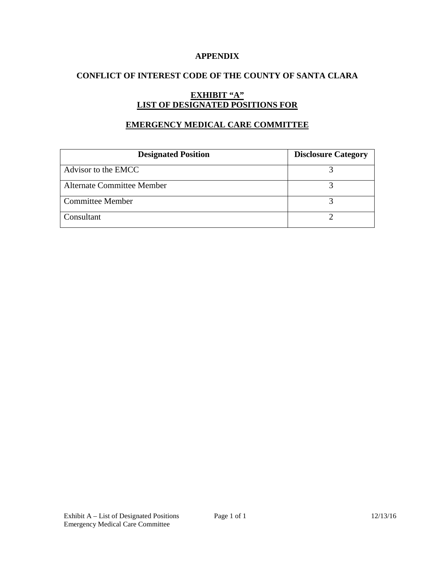### **APPENDIX**

### **CONFLICT OF INTEREST CODE OF THE COUNTY OF SANTA CLARA**

# **EXHIBIT "A" LIST OF DESIGNATED POSITIONS FOR**

### **EMERGENCY MEDICAL CARE COMMITTEE**

| <b>Designated Position</b>        | <b>Disclosure Category</b> |
|-----------------------------------|----------------------------|
| Advisor to the EMCC               |                            |
| <b>Alternate Committee Member</b> |                            |
| <b>Committee Member</b>           |                            |
| Consultant                        |                            |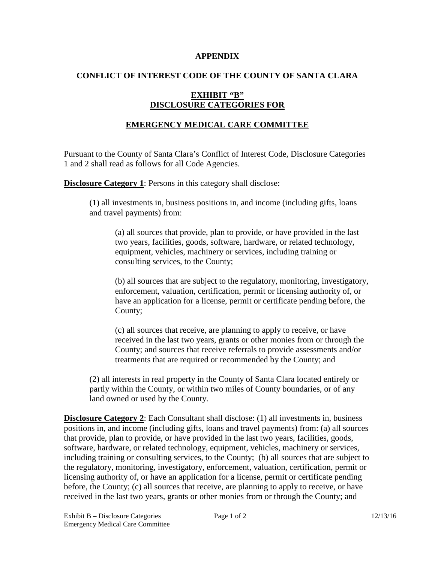#### **APPENDIX**

### **CONFLICT OF INTEREST CODE OF THE COUNTY OF SANTA CLARA**

### **EXHIBIT "B" DISCLOSURE CATEGORIES FOR**

## **EMERGENCY MEDICAL CARE COMMITTEE**

Pursuant to the County of Santa Clara's Conflict of Interest Code, Disclosure Categories 1 and 2 shall read as follows for all Code Agencies.

**Disclosure Category 1:** Persons in this category shall disclose:

(1) all investments in, business positions in, and income (including gifts, loans and travel payments) from:

(a) all sources that provide, plan to provide, or have provided in the last two years, facilities, goods, software, hardware, or related technology, equipment, vehicles, machinery or services, including training or consulting services, to the County;

(b) all sources that are subject to the regulatory, monitoring, investigatory, enforcement, valuation, certification, permit or licensing authority of, or have an application for a license, permit or certificate pending before, the County;

(c) all sources that receive, are planning to apply to receive, or have received in the last two years, grants or other monies from or through the County; and sources that receive referrals to provide assessments and/or treatments that are required or recommended by the County; and

(2) all interests in real property in the County of Santa Clara located entirely or partly within the County, or within two miles of County boundaries, or of any land owned or used by the County.

**Disclosure Category 2:** Each Consultant shall disclose: (1) all investments in, business positions in, and income (including gifts, loans and travel payments) from: (a) all sources that provide, plan to provide, or have provided in the last two years, facilities, goods, software, hardware, or related technology, equipment, vehicles, machinery or services, including training or consulting services, to the County; (b) all sources that are subject to the regulatory, monitoring, investigatory, enforcement, valuation, certification, permit or licensing authority of, or have an application for a license, permit or certificate pending before, the County; (c) all sources that receive, are planning to apply to receive, or have received in the last two years, grants or other monies from or through the County; and